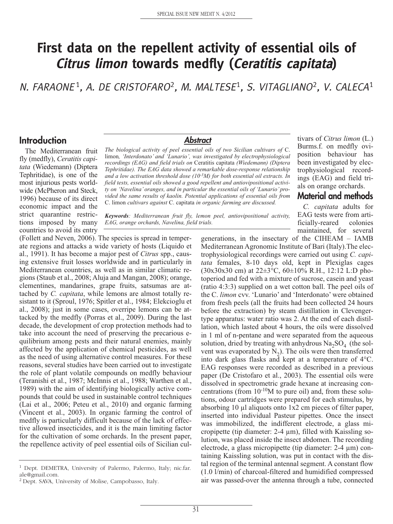# **First data on the repellent activity of essential oils of Citrus limon towards medfly (Ceratitis capitata)**

N. FARAONE<sup>1</sup>, A. DE CRISTOFARO<sup>2</sup>, M. MALTESE<sup>1</sup>, S. VITAGLIANO<sup>2</sup>, V. CALECA<sup>1</sup>

#### **Introduction**

The Mediterranean fruit fly (medfly), *Ceratitis capitata* (Wiedemann) (Diptera Tephritidae), is one of the most injurious pests worldwide (McPheron and Steck, 1996) because of its direct economic impact and the strict quarantine restrictions imposed by many countries to avoid its entry

#### *Abstract*

*The biological activity of peel essential oils of two Sicilian cultivars of* C. limon*, 'Interdonato' and 'Lunario', was investigated by electrophysiological recordings (EAG) and field trials on* Ceratitis capitata *(Wiedemann) (Diptera Tephritidae). The EAG data showed a remarkable dose-response relationship and a low activation threshold dose (10-3M) for both essential oil extracts. In field tests, essential oils showed a good repellent and antiovipositional activity on 'Navelina' oranges, and in particular the essential oils of 'Lunario' provided the same results of kaolin. Potential applications of essential oils from* C. limon *cultivars against* C. capitata *in organic farming are discussed.*

*Keywords: Mediterranean fruit fly, lemon peel, antiovipositional activity,*

*EAG, orange orchards, Navelina, field trials.*

tivars of *Citrus limon* (L.) Burms.f. on medfly oviposition behaviour has been investigated by electrophysiological recordings (EAG) and field trials on orange orchards.

**Material and methods**

*C. capitata* adults for EAG tests were from artificially-reared colonies maintained, for several

(Follett and Neven, 2006). The species is spread in temperate regions and attacks a wide variety of hosts (Liquido et al., 1991). It has become a major pest of *Citrus* spp., causing extensive fruit losses worldwide and in particularly in Mediterranean countries, as well as in similar climatic regions (Staub et al., 2008; Aluja and Mangan, 2008); orange, clementines, mandarines, grape fruits, satsumas are attached by *C. capitata*, while lemons are almost totally resistant to it (Sproul, 1976; Spitler et al., 1984; Elekcioglu et al., 2008); just in some cases, overripe lemons can be attacked by the medfly (Porras et al., 2009). During the last decade, the development of crop protection methods had to take into account the need of preserving the precarious equilibrium among pests and their natural enemies, mainly affected by the application of chemical pesticides, as well as the need of using alternative control measures. For these reasons, several studies have been carried out to investigate the role of plant volatile compounds on medfly behaviour (Teranishi et al., 1987; McInnis et al., 1988; Warthen et al., 1989) with the aim of identifying biologically active compounds that could be used in sustainable control techniques (Lai et al., 2006; Peteu et al., 2010) and organic farming (Vincent et al., 2003). In organic farming the control of medfly is particularly difficult because of the lack of effective allowed insecticides, and it is the main limiting factor for the cultivation of some orchards. In the present paper, the repellence activity of peel essential oils of Sicilian cul-

generations, in the insectary of the CIHEAM – IAMB Mediterranean Agronomic Institute of Bari (Italy).The electrophysiological recordings were carried out using *C. capitata* females, 8-10 days old, kept in Plexiglas cages (30x30x30 cm) at 22±3°C, 60±10% R.H., 12:12 L:D photoperiod and fed with a mixture of sucrose, casein and yeast (ratio 4:3:3) supplied on a wet cotton ball. The peel oils of the C. *limon* cvv. 'Lunario' and 'Interdonato' were obtained from fresh peels (all the fruits had been collected 24 hours before the extraction) by steam distillation in Clevengertype apparatus: water ratio was 2. At the end of each distillation, which lasted about 4 hours, the oils were dissolved in 1 ml of n-pentane and were separated from the aqueous solution, dried by treating with anhydrous  $Na<sub>2</sub>SO<sub>4</sub>$  (the solvent was evaporated by  $N_2$ ). The oils were then transferred into dark glass flasks and kept at a temperature of 4°C. EAG responses were recorded as described in a previous paper (De Cristofaro et al., 2003). The essential oils were dissolved in spectrometric grade hexane at increasing concentrations (from  $10^{-10}M$  to pure oil) and, from these solutions, odour cartridges were prepared for each stimulus, by absorbing 10 µl aliquots onto 1x2 cm pieces of filter paper, inserted into individual Pasteur pipettes. Once the insect was immobilized, the indifferent electrode, a glass micropipette (tip diameter: 2-4 µm), filled with Kaissling solution, was placed inside the insect abdomen. The recording electrode, a glass micropipette (tip diameter: 2-4 µm) containing Kaissling solution, was put in contact with the distal region of the terminal antennal segment. A constant flow (1.0 l/min) of charcoal-filtered and humidified compressed air was passed-over the antenna through a tube, connected

<sup>1</sup> Dept. DEMETRA, University of Palermo, Palermo, Italy; nic.far. ale@gmail.com.

<sup>2</sup> Dept. SAVA, University of Molise, Campobasso, Italy.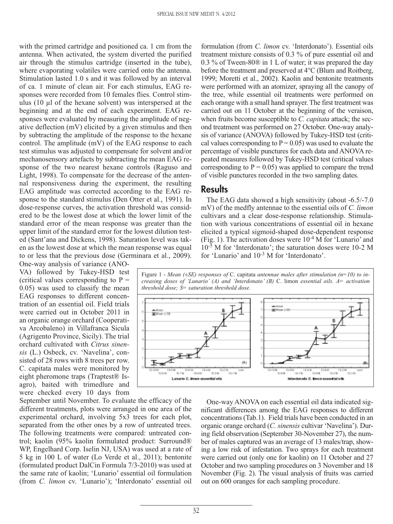with the primed cartridge and positioned ca. 1 cm from the antenna. When activated, the system diverted the purified air through the stimulus cartridge (inserted in the tube), where evaporating volatiles were carried onto the antenna. Stimulation lasted 1.0 s and it was followed by an interval of ca. 1 minute of clean air. For each stimulus, EAG responses were recorded from 10 females flies. Control stimulus (10 µl of the hexane solvent) was interspersed at the beginning and at the end of each experiment. EAG responses were evaluated by measuring the amplitude of negative deflection (mV) elicited by a given stimulus and then by subtracting the amplitude of the response to the hexane control. The amplitude (mV) of the EAG response to each test stimulus was adjusted to compensate for solvent and/or mechanosensory artefacts by subtracting the mean EAG response of the two nearest hexane controls (Raguso and Light, 1998). To compensate for the decrease of the antennal responsiveness during the experiment, the resulting EAG amplitude was corrected according to the EAG response to the standard stimulus (Den Otter et al., 1991). In dose-response curves, the activation threshold was considered to be the lowest dose at which the lower limit of the standard error of the mean response was greater than the upper limit of the standard error for the lowest dilution tested (Sant'ana and Dickens, 1998). Saturation level was taken as the lowest dose at which the mean response was equal to or less that the previous dose (Germinara et al., 2009).

One-way analysis of variance (ANO-VA) followed by Tukey-HSD test (critical values corresponding to  $P =$ 0.05) was used to classify the mean EAG responses to different concentration of an essential oil. Field trials were carried out in October 2011 in an organic orange orchard (Cooperativa Arcobaleno) in Villafranca Sicula (Agrigento Province, Sicily). The trial orchard cultivated with *Citrus sinensis* (L.) Osbeck, cv. 'Navelina', consisted of 28 rows with 8 trees per row. C. capitata males were monitored by eight pheromone traps (Traptest® Isagro), baited with trimedlure and were checked every 10 days from

September until November. To evaluate the efficacy of the different treatments, plots were arranged in one area of the experimental orchard, involving 5x3 trees for each plot, separated from the other ones by a row of untreated trees. The following treatments were compared: untreated control; kaolin (95% kaolin formulated product: Surround® WP, Engelhard Corp. Iselin NJ, USA) was used at a rate of 5 kg in 100 L of water (Lo Verde et al., 2011); bentonite (formulated product DalCin Formula 7/3-2010) was used at the same rate of kaolin; 'Lunario' essential oil formulation (from *C. limon* cv. 'Lunario'); 'Interdonato' essential oil

formulation (from *C. limon* cv. 'Interdonato'). Essential oils treatment mixture consists of 0.3 % of pure essential oil and 0.3 % of Tween-80® in 1 L of water; it was prepared the day before the treatment and preserved at 4°C (Blum and Roitberg, 1999; Moretti et al., 2002). Kaolin and bentonite treatments were performed with an atomizer, spraying all the canopy of the tree, while essential oil treatments were performed on each orange with a small hand sprayer. The first treatment was carried out on 11 October at the beginning of the veraison, when fruits become susceptible to *C. capitata* attack; the second treatment was performed on 27 October. One-way analysis of variance (ANOVA) followed by Tukey-HSD test (critical values corresponding to  $P = 0.05$ ) was used to evaluate the percentage of visible punctures for each data and ANOVA repeated measures followed by Tukey-HSD test (critical values corresponding to  $P = 0.05$ ) was applied to compare the trend of visible punctures recorded in the two sampling dates.

### **Results**

The EAG data showed a high sensitivity (about -6.5/-7.0 mV) of the medfly antennae to the essential oils of *C. limon* cultivars and a clear dose-response relationship. Stimulation with various concentrations of essential oil in hexane elicited a typical sigmoid-shaped dose-dependent response (Fig. 1). The activation doses were  $10^{-4}$  M for 'Lunario' and  $10^{-5}$  M for 'Interdonato'; the saturation doses were 10-2 M for 'Lunario' and 10-3 M for 'Interdonato'.

Figure 1 - *Mean (±SE) responses of* C. capitata *antennae males after stimulation (n=10) to increasing doses of 'Lunario' (A) and 'Interdonato' (B)* C. limon *essential oils. A= activation threshold dose; S= saturation threshold dose.*



One-way ANOVA on each essential oil data indicated significant differences among the EAG responses to different concentrations (Tab.1). Field trials have been conducted in an organic orange orchard (*C. sinensis* cultivar 'Navelina'). During field observation (September 30-November 27), the number of males captured was an average of 13 males/trap, showing a low risk of infestation. Two sprays for each treatment were carried out (only one for kaolin) on 11 October and 27 October and two sampling procedures on 3 November and 18 November (Fig. 2). The visual analysis of fruits was carried out on 600 oranges for each sampling procedure.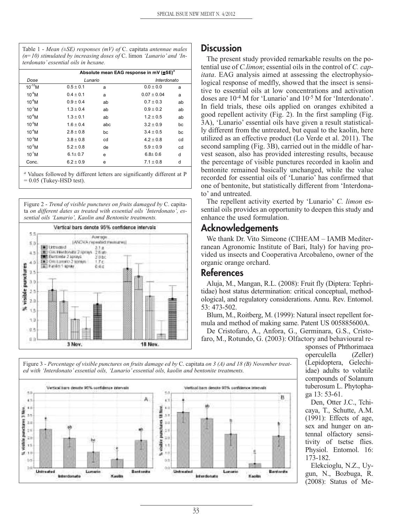Table 1 - *Mean (±SE) responses (mV) of* C. capitata *antennae males (n=10) stimulated by increasing doses of* C. limon *'Lunario' and 'Interdonato' essential oils in hexane.*

| Dose         | Absolute mean EAG response in mV (±SE) <sup>a</sup> |     |               |    |
|--------------|-----------------------------------------------------|-----|---------------|----|
|              | Lunario                                             |     | Interdonato   |    |
| $10^{-10}$ M | $0.5 + 0.1$                                         | a   | $0.0 + 0.0$   | a  |
| $10^{-9}$ M  | $0.4 + 0.1$                                         | a   | $0.07 + 0.04$ | a  |
| $10^{-8}$ M  | $0.9 + 0.4$                                         | ab  | $0.7 + 0.3$   | ab |
| $10^{-7}$ M  | $1.3 + 0.4$                                         | ab  | $0.9 + 0.2$   | ab |
| $10^{-6}$ M  | $1.3 + 0.1$                                         | ab  | $1.2 + 0.5$   | ab |
| $10^{-5}$ M  | $1.6 + 0.4$                                         | abc | $3.2 + 0.9$   | bc |
| $10^4$ M     | $2.8 + 0.8$                                         | bc  | $3.4 + 0.5$   | bc |
| $10^{-3}$ M  | $3.8 + 0.8$                                         | cd  | $4.2 + 0.8$   | cd |
| $10^{-2}$ M  | $5.2 + 0.8$                                         | de  | $5.9 + 0.9$   | cd |
| $10^{-1}$ M  | $6.1 + 0.7$                                         | e   | $6.8 + 0.6$   | d  |
| Conc.        | $6.2 + 0.9$                                         | е   | $7.1 + 0.8$   | d  |

*<sup>a</sup>* Values followed by different letters are significantly different at P  $= 0.05$  (Tukey-HSD test).

Figure 2 - *Trend of visible punctures on fruits damaged by* C. capitata *on different dates as treated with essential oils 'Interdonato', essential oils 'Lunario', Kaolin and Bentonite treatments.*



# **Discussion**

The present study provided remarkable results on the potential use of *C.limon*; essential oils in the control of *C. capitata*. EAG analysis aimed at assessing the electrophysiological response of medfly, showed that the insect is sensitive to essential oils at low concentrations and activation doses are 10-4 M for 'Lunario' and 10-5 M for 'Interdonato'. In field trials, these oils applied on oranges exhibited a good repellent activity (Fig. 2). In the first sampling (Fig. 3A), 'Lunario' essential oils have given a result statistically different from the untreated, but equal to the kaolin, here utilized as an effective product (Lo Verde et al. 2011). The second sampling (Fig. 3B), carried out in the middle of harvest season, also has provided interesting results, because the percentage of visible punctures recorded in kaolin and bentonite remained basically unchanged, while the value recorded for essential oils of 'Lunario' has confirmed that one of bentonite, but statistically different from 'Interdonato' and untreated.

The repellent activity exerted by 'Lunario' *C. limon* essential oils provides an opportunity to deepen this study and enhance the used formulation.

# **Acknowledgements**

We thank Dr. Vito Simeone (CIHEAM – IAMB Mediterranean Agronomic Institute of Bari, Italy) for having provided us insects and Cooperativa Arcobaleno, owner of the organic orange orchard.

# **References**

Aluja, M., Mangan, R.L. (2008): Fruit fly (Diptera: Tephritidae) host status determination: critical conceptual, methodological, and regulatory considerations. Annu. Rev. Entomol. 53: 473-502.

Blum, M., Roitberg, M. (1999): Natural insect repellent formula and method of making same. Patent US 005885600A.

De Cristofaro, A., Anfora, G., Germinara, G.S., Cristofaro, M., Rotundo, G. (2003): Olfactory and behavioural re-

sponses of Phthorimaea operculella (Zeller) (Lepidoptera, Gelechiidae) adults to volatile compounds of Solanum tuberosum L. Phytophaga 13: 53-61.

Den, Otter J.C., Tchicaya, T., Schutte, A.M. (1991): Effects of age, sex and hunger on antennal olfactory sensitivity of tsetse flies. Physiol. Entomol. 16: 173-182.

Elekcioglu, N.Z., Uygun, N., Bozbuga, R. (2008): Status of Me-

Figure 3 - *Percentage of visible punctures on fruits damage ed by* C. capitata *on 3 (A) and 18 (B) November treated with 'Interdonato' essential oils, 'Lunario' essential oils, kaolin and bentonite treatments.*